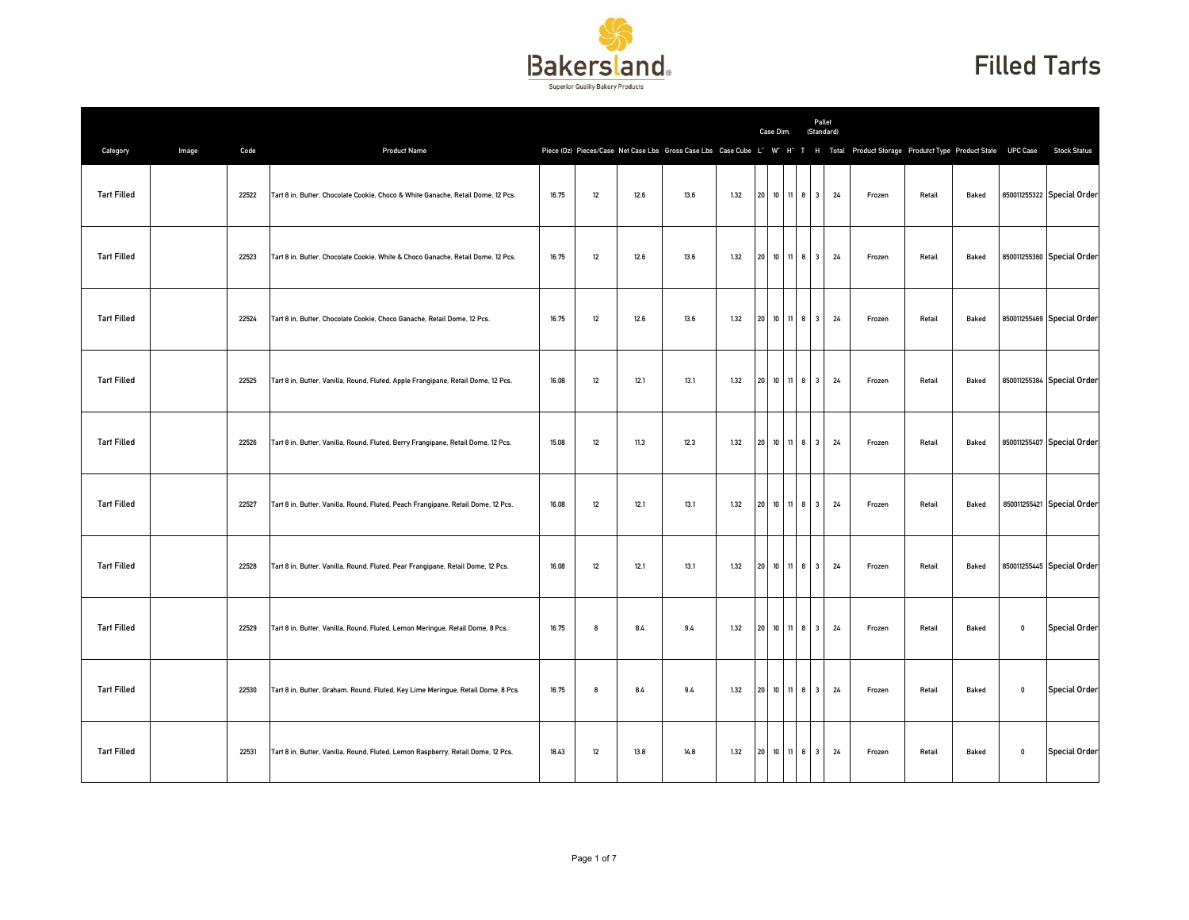

## Filled Tarts

|                    |       |       |                                                                                   |       |    |      |      |      |                 | Case Dim.         |              |                                | Pallet<br>(Standard) |                                                                                                                                      |        |       |             |                            |
|--------------------|-------|-------|-----------------------------------------------------------------------------------|-------|----|------|------|------|-----------------|-------------------|--------------|--------------------------------|----------------------|--------------------------------------------------------------------------------------------------------------------------------------|--------|-------|-------------|----------------------------|
| Category           | Image | Code  | <b>Product Name</b>                                                               |       |    |      |      |      |                 |                   |              |                                |                      | Piece (0z) Pieces/Case Net Case Lbs Gross Case Lbs Case Cube L" W" H" T H Total Product Storage Produtct Type Product State UPC Case |        |       |             | <b>Stock Status</b>        |
| <b>Tart Filled</b> |       | 22522 | Tart 8 in, Butter, Chocolate Cookie, Choco & White Ganache, Retail Dome, 12 Pcs.  | 16.75 | 12 | 12.6 | 13.6 | 1.32 | $20\,$          | 10 11 8           |              | 3                              | 24                   | Frozen                                                                                                                               | Retail | Baked |             | 850011255322 Special Order |
| <b>Tart Filled</b> |       | 22523 | Tart 8 in, Butter, Chocolate Cookie, White & Choco Ganache, Retail Dome, 12 Pcs.  | 16.75 | 12 | 12.6 | 13.6 | 1.32 |                 | 20 10 11 8        |              | $\overline{\mathbf{3}}$        | 24                   | Frozen                                                                                                                               | Retail | Baked |             | 850011255360 Special Order |
| <b>Tart Filled</b> |       | 22524 | Tart 8 in, Butter, Chocolate Cookie, Choco Ganache, Retail Dome, 12 Pcs.          | 16.75 | 12 | 12.6 | 13.6 | 1.32 | 20 <sup>1</sup> | 10 11 8           |              | $\overline{\mathbf{3}}$        | 24                   | Frozen                                                                                                                               | Retail | Baked |             | 850011255469 Special Order |
| <b>Tart Filled</b> |       | 22525 | Tart 8 in, Butter, Vanilla, Round, Fluted, Apple Frangipane, Retail Dome, 12 Pcs. | 16.08 | 12 | 12.1 | 13.1 | 1.32 | 20              | 10                | 8<br>11      | 3                              | 24                   | Frozen                                                                                                                               | Retail | Baked |             | 850011255384 Special Order |
| <b>Tart Filled</b> |       | 22526 | Tart 8 in, Butter, Vanilla, Round, Fluted, Berry Frangipane, Retail Dome, 12 Pcs. | 15.08 | 12 | 11.3 | 12.3 | 1.32 | 20 <sup>1</sup> | 10                | 11           | 8 <sup>1</sup><br>$\mathbf{3}$ | 24                   | Frozen                                                                                                                               | Retail | Baked |             | 850011255407 Special Order |
| <b>Tart Filled</b> |       | 22527 | Tart 8 in, Butter, Vanilla, Round, Fluted, Peach Frangipane, Retail Dome, 12 Pcs. | 16.08 | 12 | 12.1 | 13.1 | 1.32 | 20              | 10 11 8 3         |              |                                | 24                   | Frozen                                                                                                                               | Retail | Baked |             | 850011255421 Special Order |
| <b>Tart Filled</b> |       | 22528 | Tart 8 in, Butter, Vanilla, Round, Fluted, Pear Frangipane, Retail Dome, 12 Pcs.  | 16.08 | 12 | 12.1 | 13.1 | 1.32 | 20              | 10 11 8           |              | $\overline{\mathbf{3}}$        | 24                   | Frozen                                                                                                                               | Retail | Baked |             | 850011255445 Special Order |
| <b>Tart Filled</b> |       | 22529 | Tart 8 in, Butter, Vanilla, Round, Fluted, Lemon Meringue, Retail Dome, 8 Pcs.    | 16.75 | 8  | 8.4  | 9.4  | 1.32 | 20 <sub>2</sub> | $10$ $11$ $8$ $3$ |              |                                | 24                   | Frozen                                                                                                                               | Retail | Baked | 0           | <b>Special Order</b>       |
| <b>Tart Filled</b> |       | 22530 | Tart 8 in, Butter, Graham, Round, Fluted, Key Lime Meringue, Retail Dome, 8 Pcs.  | 16.75 | 8  | 8.4  | 9.4  | 1.32 | $20\,$          | 10 11 8           |              | $\mathbf{3}$                   | 24                   | Frozen                                                                                                                               | Retail | Baked | 0           | <b>Special Order</b>       |
| <b>Tart Filled</b> |       | 22531 | Tart 8 in, Butter, Vanilla, Round, Fluted, Lemon Raspberry, Retail Dome, 12 Pcs.  | 18.43 | 12 | 13.8 | 14.8 | 1.32 | 20              | 10                | $11 \quad 8$ | $\overline{\mathbf{3}}$        | 24                   | Frozen                                                                                                                               | Retail | Baked | $\mathbf 0$ | <b>Special Order</b>       |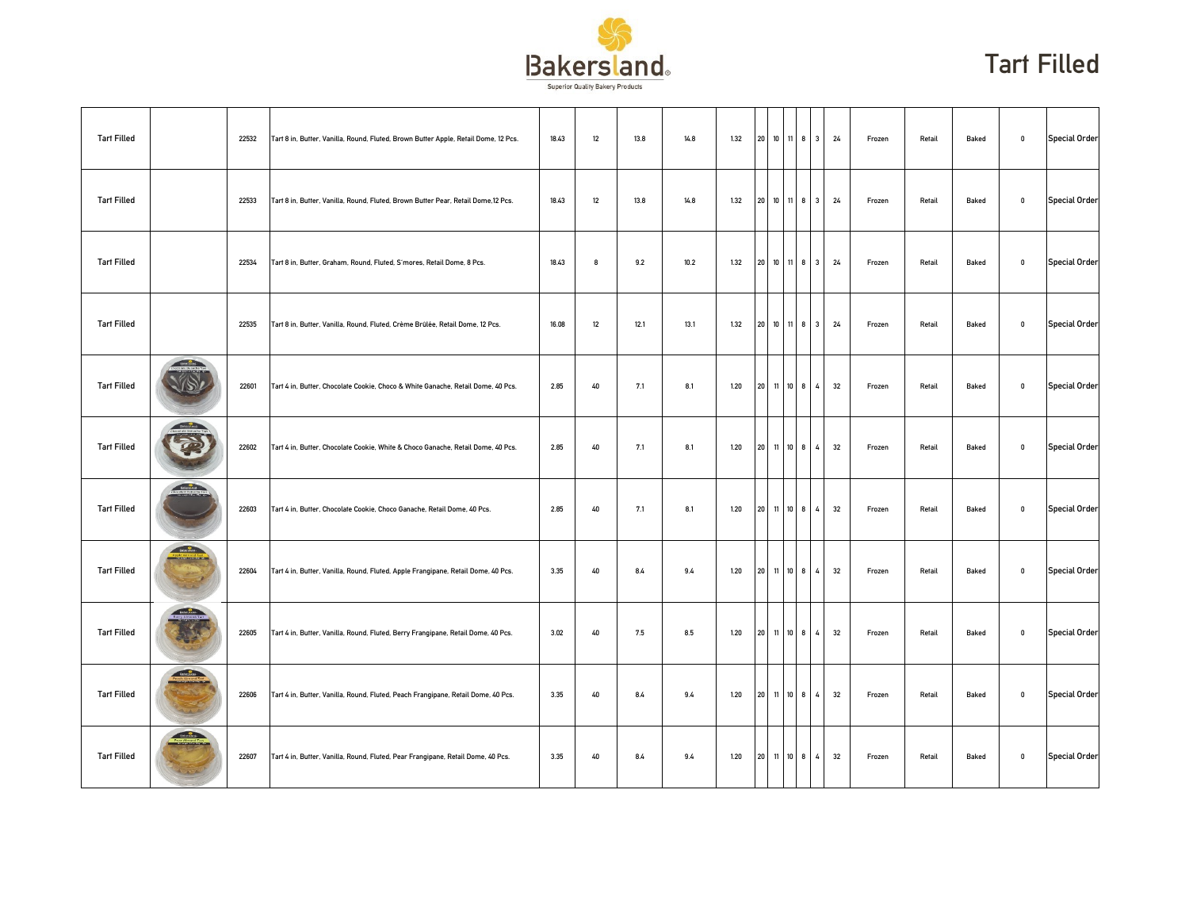

| <b>Tart Filled</b> |                  | 22532 | Tart 8 in, Butter, Vanilla, Round, Fluted, Brown Butter Apple, Retail Dome, 12 Pcs. | 18.43 | 12 | 13.8 | 14.8 | 1.32 |            |         |              | 20 10 11 8 3   | 24 | Frozen | Retail | Baked | $\mathbf 0$ | <b>Special Order</b> |
|--------------------|------------------|-------|-------------------------------------------------------------------------------------|-------|----|------|------|------|------------|---------|--------------|----------------|----|--------|--------|-------|-------------|----------------------|
| <b>Tart Filled</b> |                  | 22533 | Tart 8 in, Butter, Vanilla, Round, Fluted, Brown Butter Pear, Retail Dome, 12 Pcs.  | 18.43 | 12 | 13.8 | 14.8 | 1.32 |            |         |              | 20 10 11 8 3   | 24 | Frozen | Retail | Baked | $\mathbf 0$ | <b>Special Order</b> |
| <b>Tart Filled</b> |                  | 22534 | Tart 8 in, Butter, Graham, Round, Fluted, S'mores, Retail Dome, 8 Pcs.              | 18.43 | 8  | 9.2  | 10.2 | 1.32 |            |         |              | 20 10 11 8 3   | 24 | Frozen | Retail | Baked | $\mathbf 0$ | <b>Special Order</b> |
| <b>Tart Filled</b> |                  | 22535 | Tart 8 in, Butter, Vanilla, Round, Fluted, Crème Brûlée, Retail Dome, 12 Pcs.       | 16.08 | 12 | 12.1 | 13.1 | 1.32 | 20 10 11 8 |         |              | 3              | 24 | Frozen | Retail | Baked | $\mathbf 0$ | <b>Special Order</b> |
| <b>Tart Filled</b> | <b>OBSTRATES</b> | 22601 | Tart 4 in, Butter, Chocolate Cookie, Choco & White Ganache, Retail Dome, 40 Pcs.    | 2.85  | 40 | 7.1  | 8.1  | 1.20 | 20         | 11 10 8 |              | 4              | 32 | Frozen | Retail | Baked | $\mathbf 0$ | <b>Special Order</b> |
| <b>Tart Filled</b> |                  | 22602 | Tart 4 in, Butter, Chocolate Cookie, White & Choco Ganache, Retail Dome, 40 Pcs.    | 2.85  | 40 | 7.1  | 8.1  | 1.20 | 20 11 10 8 |         |              | 4              | 32 | Frozen | Retail | Baked | $\mathbf 0$ | <b>Special Order</b> |
| <b>Tart Filled</b> | <b>TENCHAGE</b>  | 22603 | Tart 4 in, Butter, Chocolate Cookie, Choco Ganache, Retail Dome, 40 Pcs.            | 2.85  | 40 | 7.1  | 8.1  | 1.20 |            |         |              | 20 11 10 8 4   | 32 | Frozen | Retail | Baked | $\mathbf 0$ | <b>Special Order</b> |
| <b>Tart Filled</b> | <b>Executive</b> | 22604 | Tart 4 in, Butter, Vanilla, Round, Fluted, Apple Frangipane, Retail Dome, 40 Pcs.   | 3.35  | 40 | 8.4  | 9.4  | 1.20 | 20 11 10 8 |         |              | 4              | 32 | Frozen | Retail | Baked | $\mathbf 0$ | <b>Special Order</b> |
| <b>Tart Filled</b> |                  | 22605 | Tart 4 in, Butter, Vanilla, Round, Fluted, Berry Frangipane, Retail Dome, 40 Pcs.   | 3.02  | 40 | 7.5  | 8.5  | 1.20 | 20         | 11      | $10 \quad 8$ | 4              | 32 | Frozen | Retail | Baked | $\mathbf 0$ | <b>Special Order</b> |
| <b>Tart Filled</b> | <b>Change</b>    | 22606 | Tart 4 in, Butter, Vanilla, Round, Fluted, Peach Frangipane, Retail Dome, 40 Pcs.   | 3.35  | 40 | 8.4  | 9.4  | 1.20 | 20 11 10 8 |         |              | $\overline{4}$ | 32 | Frozen | Retail | Baked | $\mathbf 0$ | <b>Special Order</b> |
| <b>Tart Filled</b> | Baternoon (      | 22607 | Tart 4 in, Butter, Vanilla, Round, Fluted, Pear Frangipane, Retail Dome, 40 Pcs.    | 3.35  | 40 | 8.4  | 9.4  | 1.20 |            |         |              | 20 11 10 8 4   | 32 | Frozen | Retail | Baked | $\mathbf 0$ | <b>Special Order</b> |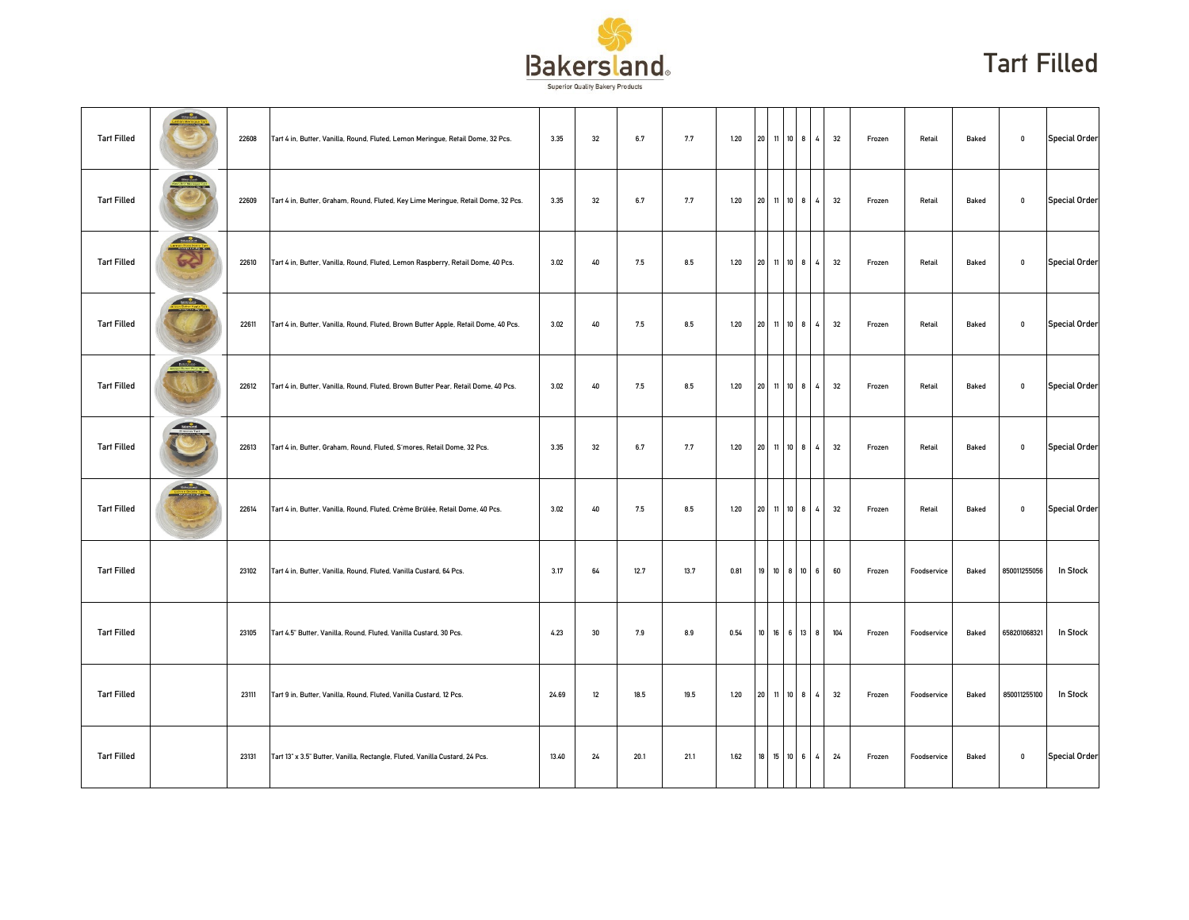

| <b>Tart Filled</b> | <b>Committee</b>                                     | 22608 | Tart 4 in, Butter, Vanilla, Round, Fluted, Lemon Meringue, Retail Dome, 32 Pcs.     | 3.35  | 32 | 6.7  | 7.7  | 1.20 |                 | 20 11 10 8   |         | $\overline{4}$ | 32  | Frozen | Retail      | Baked | $\mathbf 0$  | <b>Special Order</b> |
|--------------------|------------------------------------------------------|-------|-------------------------------------------------------------------------------------|-------|----|------|------|------|-----------------|--------------|---------|----------------|-----|--------|-------------|-------|--------------|----------------------|
| <b>Tart Filled</b> |                                                      | 22609 | Tart 4 in, Butter, Graham, Round, Fluted, Key Lime Meringue, Retail Dome, 32 Pcs.   | 3.35  | 32 | 6.7  | 7.7  | 1.20 |                 | 20 11 10     | 8       | 4              | 32  | Frozen | Retail      | Baked | $\mathbf 0$  | <b>Special Order</b> |
| <b>Tart Filled</b> | <b>Streament</b>                                     | 22610 | Tart 4 in, Butter, Vanilla, Round, Fluted, Lemon Raspberry, Retail Dome, 40 Pcs.    | 3.02  | 40 | 7.5  | 8.5  | 1.20 |                 | 20 11 10 8 4 |         |                | 32  | Frozen | Retail      | Baked | $\mathbf 0$  | <b>Special Order</b> |
| <b>Tart Filled</b> | <b>ENGINEERING</b>                                   | 22611 | Tart 4 in, Butter, Vanilla, Round, Fluted, Brown Butter Apple, Retail Dome, 40 Pcs. | 3.02  | 40 | 7.5  | 8.5  | 1.20 | 20              | 11   10      | 8       | $\overline{4}$ | 32  | Frozen | Retail      | Baked | $\mathbf 0$  | <b>Special Order</b> |
| <b>Tart Filled</b> | <b>Bally Corporation</b>                             | 22612 | Tart 4 in, Butter, Vanilla, Round, Fluted, Brown Butter Pear, Retail Dome, 40 Pcs.  | 3.02  | 40 | 7.5  | 8.5  | 1.20 | 20              | 11 10        | 8       | 4              | 32  | Frozen | Retail      | Baked | $\mathbf{0}$ | <b>Special Order</b> |
| <b>Tart Filled</b> | SHARDLANS                                            | 22613 | Tart 4 in, Butter, Graham, Round, Fluted, S'mores, Retail Dome, 32 Pcs.             | 3.35  | 32 | 6.7  | 7.7  | 1.20 |                 | 20 11 10 8   |         | $\overline{4}$ | 32  | Frozen | Retail      | Baked | $\mathbf 0$  | <b>Special Order</b> |
| <b>Tart Filled</b> | <b>Contract Contract Contract</b><br><b>Thursday</b> | 22614 | Tart 4 in, Butter, Vanilla, Round, Fluted, Crème Brûlée, Retail Dome, 40 Pcs.       | 3.02  | 40 | 7.5  | 8.5  | 1.20 |                 | 20 11 10 8   |         | $\overline{4}$ | 32  | Frozen | Retail      | Baked | $\mathbf 0$  | <b>Special Order</b> |
| <b>Tart Filled</b> |                                                      | 23102 | Tart 4 in, Butter, Vanilla, Round, Fluted, Vanilla Custard, 64 Pcs.                 | 3.17  | 64 | 12.7 | 13.7 | 0.81 |                 | 19 10 8 10 6 |         |                | 60  | Frozen | Foodservice | Baked | 850011255056 | In Stock             |
| <b>Tart Filled</b> |                                                      | 23105 | Tart 4.5" Butter, Vanilla, Round, Fluted, Vanilla Custard, 30 Pcs.                  | 4.23  | 30 | 7.9  | 8.9  | 0.54 | 10 <sup>1</sup> | 16           | 13<br>6 | 8              | 104 | Frozen | Foodservice | Baked | 658201068321 | In Stock             |
| <b>Tart Filled</b> |                                                      | 23111 | Tart 9 in, Butter, Vanilla, Round, Fluted, Vanilla Custard, 12 Pcs.                 | 24.69 | 12 | 18.5 | 19.5 | 1.20 |                 | 20 11 10 8   |         | 4              | 32  | Frozen | Foodservice | Baked | 850011255100 | In Stock             |
| <b>Tart Filled</b> |                                                      | 23131 | Tart 13" x 3.5" Butter, Vanilla, Rectangle, Fluted, Vanilla Custard, 24 Pcs.        | 13.40 | 24 | 20.1 | 21.1 | 1.62 |                 | 18 15 10 6 4 |         |                | 24  | Frozen | Foodservice | Baked | $\mathbf 0$  | <b>Special Order</b> |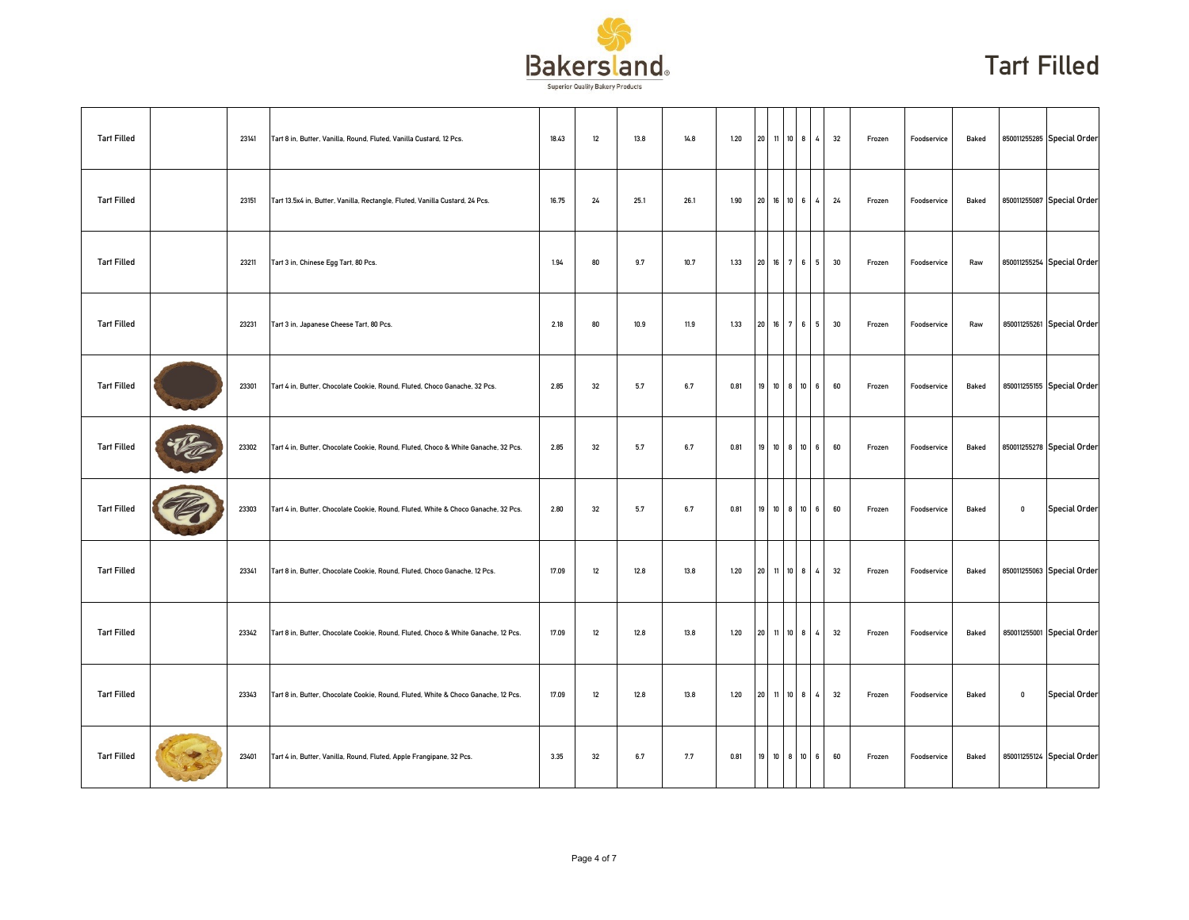

| <b>Tart Filled</b> | 23141 | Tart 8 in, Butter, Vanilla, Round, Fluted, Vanilla Custard, 12 Pcs.                | 18.43 | 12     | 13.8 | 14.8 | 1.20 |    | 20 11 10 8 |              | $\sim$ $\sim$   | 32 | Frozen | Foodservice | Baked |             | 850011255285 Special Order |
|--------------------|-------|------------------------------------------------------------------------------------|-------|--------|------|------|------|----|------------|--------------|-----------------|----|--------|-------------|-------|-------------|----------------------------|
| <b>Tart Filled</b> | 23151 | Tart 13.5x4 in, Butter, Vanilla, Rectangle, Fluted, Vanilla Custard, 24 Pcs.       | 16.75 | 24     | 25.1 | 26.1 | 1.90 |    | 20 16 10 6 |              | $4^{\circ}$     | 24 | Frozen | Foodservice | Baked |             | 850011255087 Special Order |
| <b>Tart Filled</b> | 23211 | Tart 3 in, Chinese Egg Tart, 80 Pcs.                                               | 1.94  | 80     | 9.7  | 10.7 | 1.33 |    |            |              | 20 16 7 6 5     | 30 | Frozen | Foodservice | Raw   |             | 850011255254 Special Order |
| <b>Tart Filled</b> | 23231 | Tart 3 in, Japanese Cheese Tart, 80 Pcs.                                           | 2.18  | 80     | 10.9 | 11.9 | 1.33 | 20 | 16 7 6     |              | 5               | 30 | Frozen | Foodservice | Raw   |             | 850011255261 Special Order |
| <b>Tart Filled</b> | 23301 | Tart 4 in, Butter, Chocolate Cookie, Round, Fluted, Choco Ganache, 32 Pcs.         | 2.85  | 32     | 5.7  | 6.7  | 0.81 | 19 | 10 8 10    |              | 6               | 60 | Frozen | Foodservice | Baked |             | 850011255155 Special Order |
| <b>Tart Filled</b> | 23302 | Tart 4 in, Butter, Chocolate Cookie, Round, Fluted, Choco & White Ganache, 32 Pcs. | 2.85  | 32     | 5.7  | 6.7  | 0.81 |    |            |              | 19 10 8 10 6    | 60 | Frozen | Foodservice | Baked |             | 850011255278 Special Order |
| <b>Tart Filled</b> | 23303 | Tart 4 in, Butter, Chocolate Cookie, Round, Fluted, White & Choco Ganache, 32 Pcs. | 2.80  | 32     | 5.7  | 6.7  | 0.81 |    | 19 10 8 10 |              | $6\overline{6}$ | 60 | Frozen | Foodservice | Baked | $\mathbf 0$ | <b>Special Order</b>       |
| <b>Tart Filled</b> | 23341 | Tart 8 in, Butter, Chocolate Cookie, Round, Fluted, Choco Ganache, 12 Pcs.         | 17.09 | 12     | 12.8 | 13.8 | 1.20 |    | 20 11 10 8 |              | 4               | 32 | Frozen | Foodservice | Baked |             | 850011255063 Special Order |
| <b>Tart Filled</b> | 23342 | Tart 8 in, Butter, Chocolate Cookie, Round, Fluted, Choco & White Ganache, 12 Pcs. | 17.09 | 12     | 12.8 | 13.8 | 1.20 | 20 | 11         | $10 \quad 8$ | 4               | 32 | Frozen | Foodservice | Baked |             | 850011255001 Special Order |
| <b>Tart Filled</b> | 23343 | Tart 8 in, Butter, Chocolate Cookie, Round, Fluted, White & Choco Ganache, 12 Pcs. | 17.09 | $12\,$ | 12.8 | 13.8 | 1.20 |    | 20 11 10 8 |              | 4               | 32 | Frozen | Foodservice | Baked | $\mathbf 0$ | <b>Special Order</b>       |
| <b>Tart Filled</b> | 23401 | Tart 4 in, Butter, Vanilla, Round, Fluted, Apple Frangipane, 32 Pcs.               | 3.35  | 32     | 6.7  | 7.7  | 0.81 |    |            |              | 19 10 8 10 6    | 60 | Frozen | Foodservice | Baked |             | 850011255124 Special Order |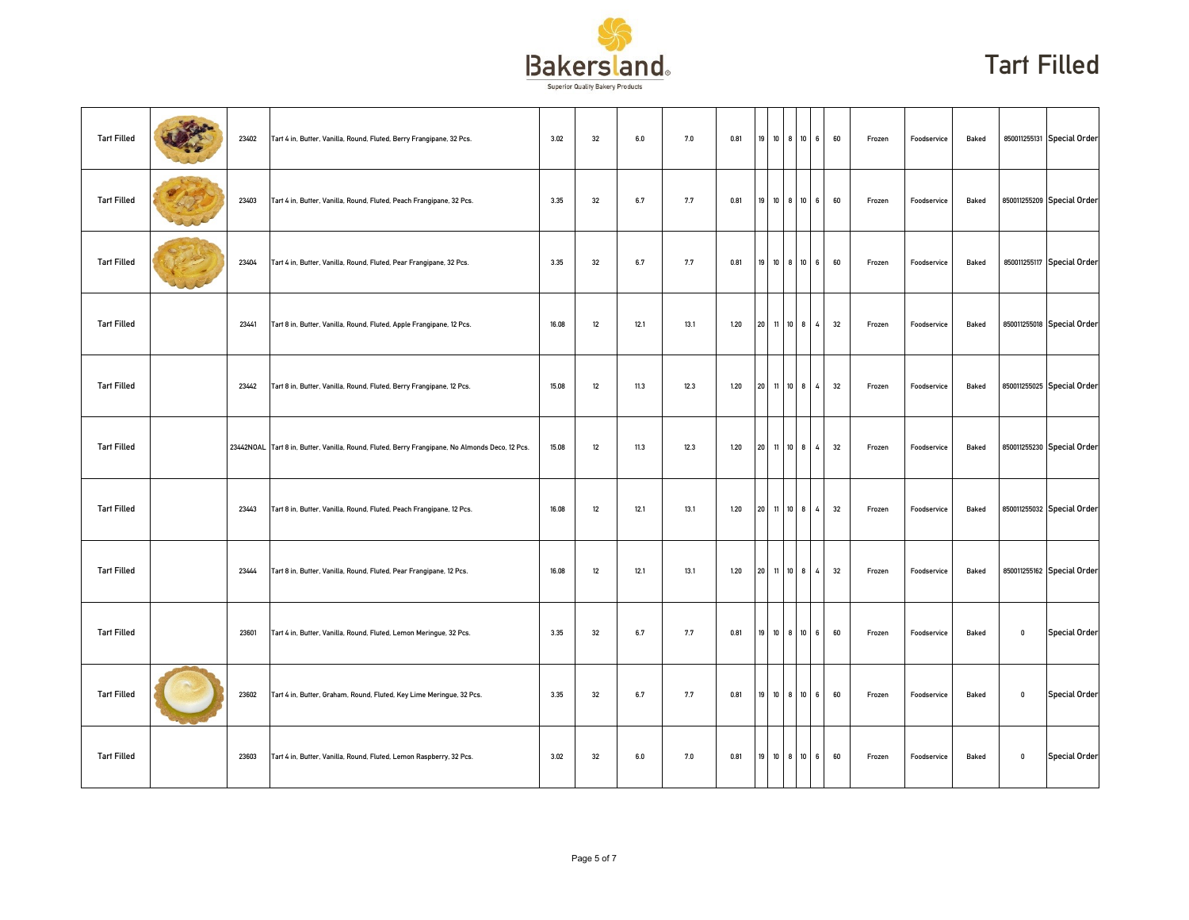

| <b>Tart Filled</b> | 23402 | Tart 4 in, Butter, Vanilla, Round, Fluted, Berry Frangipane, 32 Pcs.                            | 3.02  | 32 | 6.0  | 7.0  | 0.81 |                 | 19 10 8 10 6    |   |                       | 60 | Frozen | Foodservice | Baked |              | 850011255131 Special Order |
|--------------------|-------|-------------------------------------------------------------------------------------------------|-------|----|------|------|------|-----------------|-----------------|---|-----------------------|----|--------|-------------|-------|--------------|----------------------------|
| <b>Tart Filled</b> | 23403 | Tart 4 in, Butter, Vanilla, Round, Fluted, Peach Frangipane, 32 Pcs.                            | 3.35  | 32 | 6.7  | 7.7  | 0.81 |                 | 19 10 8 10      |   | $6\overline{6}$       | 60 | Frozen | Foodservice | Baked |              | 850011255209 Special Order |
| <b>Tart Filled</b> | 23404 | Tart 4 in, Butter, Vanilla, Round, Fluted, Pear Frangipane, 32 Pcs.                             | 3.35  | 32 | 6.7  | 7.7  | 0.81 |                 | 19 10 8 10 6    |   |                       | 60 | Frozen | Foodservice | Baked |              | 850011255117 Special Order |
| <b>Tart Filled</b> | 23441 | Tart 8 in, Butter, Vanilla, Round, Fluted, Apple Frangipane, 12 Pcs.                            | 16.08 | 12 | 12.1 | 13.1 | 1.20 | 20 <sup>1</sup> | 11 10           |   | 8<br>4                | 32 | Frozen | Foodservice | Baked |              | 850011255018 Special Order |
| <b>Tart Filled</b> | 23442 | Tart 8 in, Butter, Vanilla, Round, Fluted, Berry Frangipane, 12 Pcs.                            | 15.08 | 12 | 11.3 | 12.3 | 1.20 | 20 <sup>1</sup> | 11 10           |   | 8<br>$4\overline{ }$  | 32 | Frozen | Foodservice | Baked |              | 850011255025 Special Order |
| <b>Tart Filled</b> |       | 23442NOAL Tart 8 in, Butter, Vanilla, Round, Fluted, Berry Frangipane, No Almonds Deco, 12 Pcs. | 15.08 | 12 | 11.3 | 12.3 | 1.20 |                 | 20 11 10 8 4    |   |                       | 32 | Frozen | Foodservice | Baked |              | 850011255230 Special Order |
| <b>Tart Filled</b> | 23443 | Tart 8 in, Butter, Vanilla, Round, Fluted, Peach Frangipane, 12 Pcs.                            | 16.08 | 12 | 12.1 | 13.1 | 1.20 |                 | 20 11 10 8 4    |   |                       | 32 | Frozen | Foodservice | Baked |              | 850011255032 Special Order |
| <b>Tart Filled</b> | 23444 | Tart 8 in, Butter, Vanilla, Round, Fluted, Pear Frangipane, 12 Pcs.                             | 16.08 | 12 | 12.1 | 13.1 | 1.20 |                 | 20 11 10 8      |   | 4 <sup>1</sup>        | 32 | Frozen | Foodservice | Baked |              | 850011255162 Special Order |
| <b>Tart Filled</b> | 23601 | Tart 4 in, Butter, Vanilla, Round, Fluted, Lemon Meringue, 32 Pcs.                              | 3.35  | 32 | 6.7  | 7.7  | 0.81 | 19              | 10 <sup>°</sup> | 8 | 10 <sup>10</sup><br>6 | 60 | Frozen | Foodservice | Baked | $\mathbf{0}$ | <b>Special Order</b>       |
| <b>Tart Filled</b> | 23602 | Tart 4 in, Butter, Graham, Round, Fluted, Key Lime Meringue, 32 Pcs.                            | 3.35  | 32 | 6.7  | 7.7  | 0.81 |                 | 19 10 8 10      |   | $6\overline{6}$       | 60 | Frozen | Foodservice | Baked | $\mathbf 0$  | <b>Special Order</b>       |
| <b>Tart Filled</b> | 23603 | Tart 4 in, Butter, Vanilla, Round, Fluted, Lemon Raspberry, 32 Pcs.                             | 3.02  | 32 | 6.0  | 7.0  | 0.81 |                 | 19 10 8 10 6    |   |                       | 60 | Frozen | Foodservice | Baked | $\mathbf 0$  | <b>Special Order</b>       |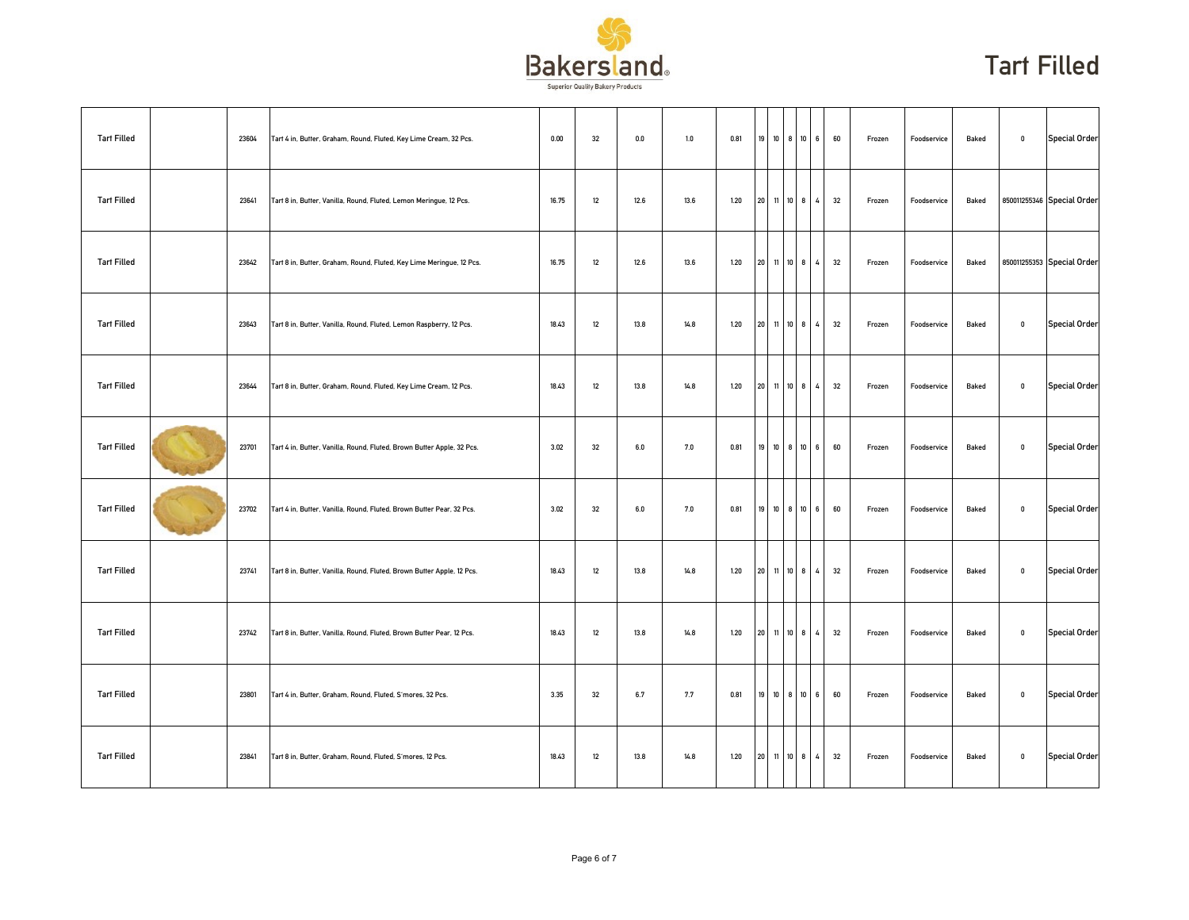

| <b>Tart Filled</b> | 23604 | Tart 4 in, Butter, Graham, Round, Fluted, Key Lime Cream, 32 Pcs.      | 0.00  | 32 | 0.0  | $1.0\,$ | 0.81 |       | 19 10 8 10   |              | 6 <sup>1</sup> | 60 | Frozen | Foodservice | Baked | $\mathbf 0$  | <b>Special Order</b>       |
|--------------------|-------|------------------------------------------------------------------------|-------|----|------|---------|------|-------|--------------|--------------|----------------|----|--------|-------------|-------|--------------|----------------------------|
| <b>Tart Filled</b> | 23641 | Tart 8 in, Butter, Vanilla, Round, Fluted, Lemon Meringue, 12 Pcs.     | 16.75 | 12 | 12.6 | 13.6    | 1.20 |       | 20 11 10 8   |              | $\overline{4}$ | 32 | Frozen | Foodservice | Baked |              | 850011255346 Special Order |
| <b>Tart Filled</b> | 23642 | Tart 8 in, Butter, Graham, Round, Fluted, Key Lime Meringue, 12 Pcs.   | 16.75 | 12 | 12.6 | 13.6    | 1.20 |       | 20 11 10 8 4 |              |                | 32 | Frozen | Foodservice | Baked |              | 850011255353 Special Order |
| <b>Tart Filled</b> | 23643 | Tart 8 in, Butter, Vanilla, Round, Fluted, Lemon Raspberry, 12 Pcs.    | 18.43 | 12 | 13.8 | 14.8    | 1.20 | 20 11 |              | $10 \quad 8$ | 4              | 32 | Frozen | Foodservice | Baked | $\mathbf 0$  | <b>Special Order</b>       |
| <b>Tart Filled</b> | 23644 | Tart 8 in, Butter, Graham, Round, Fluted, Key Lime Cream, 12 Pcs.      | 18.43 | 12 | 13.8 | 14.8    | 1.20 | 20 11 |              | $10 \quad 8$ | 4              | 32 | Frozen | Foodservice | Baked | $\mathbf 0$  | <b>Special Order</b>       |
| <b>Tart Filled</b> | 23701 | Tart 4 in, Butter, Vanilla, Round, Fluted, Brown Butter Apple, 32 Pcs. | 3.02  | 32 | 6.0  | 7.0     | 0.81 |       | 19 10 8 10   |              | 6 <sup>1</sup> | 60 | Frozen | Foodservice | Baked | $\pmb{0}$    | <b>Special Order</b>       |
| <b>Tart Filled</b> | 23702 | Tart 4 in, Butter, Vanilla, Round, Fluted, Brown Butter Pear, 32 Pcs.  | 3.02  | 32 | 6.0  | 7.0     | 0.81 |       | 19 10 8 10 6 |              |                | 60 | Frozen | Foodservice | Baked | $\mathbf 0$  | <b>Special Order</b>       |
| <b>Tart Filled</b> | 23741 | Tart 8 in, Butter, Vanilla, Round, Fluted, Brown Butter Apple, 12 Pcs. | 18.43 | 12 | 13.8 | 14.8    | 1.20 |       | 20 11 10 8   |              | 4              | 32 | Frozen | Foodservice | Baked | $\mathbf{0}$ | <b>Special Order</b>       |
| <b>Tart Filled</b> | 23742 | Tart 8 in, Butter, Vanilla, Round, Fluted, Brown Butter Pear, 12 Pcs.  | 18.43 | 12 | 13.8 | 14.8    | 1.20 | 20    | 11           | $10 \quad 8$ | 4              | 32 | Frozen | Foodservice | Baked | $\mathbf 0$  | <b>Special Order</b>       |
| <b>Tart Filled</b> | 23801 | Tart 4 in, Butter, Graham, Round, Fluted, S'mores, 32 Pcs.             | 3.35  | 32 | 6.7  | 7.7     | 0.81 |       | 19 10 8 10   |              | 6 <sup>1</sup> | 60 | Frozen | Foodservice | Baked | $\mathbf 0$  | <b>Special Order</b>       |
| <b>Tart Filled</b> | 23841 | Tart 8 in, Butter, Graham, Round, Fluted, S'mores, 12 Pcs.             | 18.43 | 12 | 13.8 | 14.8    | 1.20 |       | 20 11 10 8 4 |              |                | 32 | Frozen | Foodservice | Baked | $\mathbf 0$  | <b>Special Order</b>       |